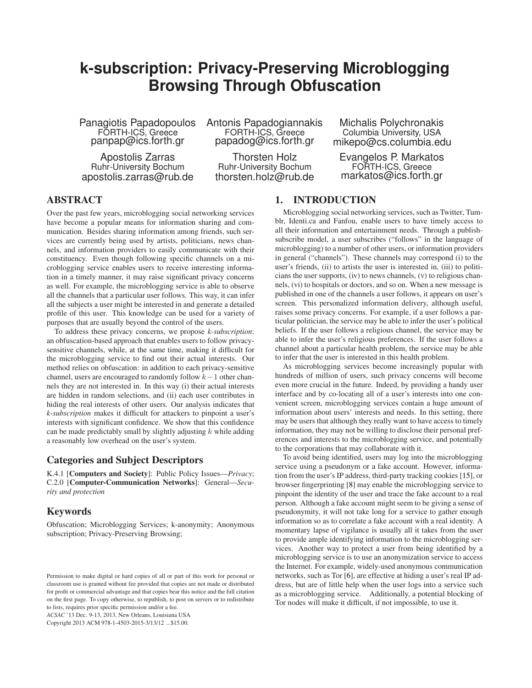# **k-subscription: Privacy-Preserving Microblogging Browsing Through Obfuscation**

Panagiotis Papadopoulos FORTH-ICS, Greece panpap@ics.forth.gr

Apostolis Zarras Ruhr-University Bochum apostolis.zarras@rub.de Antonis Papadogiannakis FORTH-ICS, Greece papadog@ics.forth.gr

> Thorsten Holz Ruhr-University Bochum thorsten.holz@rub.de

Michalis Polychronakis Columbia University, USA mikepo@cs.columbia.edu

Evangelos P. Markatos FORTH-ICS, Greece markatos@ics.forth.gr

# **ABSTRACT**

Over the past few years, microblogging social networking services have become a popular means for information sharing and communication. Besides sharing information among friends, such services are currently being used by artists, politicians, news channels, and information providers to easily communicate with their constituency. Even though following specific channels on a microblogging service enables users to receive interesting information in a timely manner, it may raise significant privacy concerns as well. For example, the microblogging service is able to observe all the channels that a particular user follows. This way, it can infer all the subjects a user might be interested in and generate a detailed profile of this user. This knowledge can be used for a variety of purposes that are usually beyond the control of the users.

To address these privacy concerns, we propose *k-subscription*: an obfuscation-based approach that enables users to follow privacysensitive channels, while, at the same time, making it difficult for the microblogging service to find out their actual interests. Our method relies on obfuscation: in addition to each privacy-sensitive channel, users are encouraged to randomly follow k−1 other channels they are not interested in. In this way (i) their actual interests are hidden in random selections, and (ii) each user contributes in hiding the real interests of other users. Our analysis indicates that *k-subscription* makes it difficult for attackers to pinpoint a user's interests with significant confidence. We show that this confidence can be made predictably small by slightly adjusting  $k$  while adding a reasonably low overhead on the user's system.

# **Categories and Subject Descriptors**

K.4.1 [**Computers and Society**]: Public Policy Issues—*Privacy*; C.2.0 [**Computer-Communication Networks**]: General—*Security and protection*

# **Keywords**

Obfuscation; Microblogging Services; k-anonymity; Anonymous subscription; Privacy-Preserving Browsing;

*ACSAC* '13 Dec. 9-13, 2013, New Orleans, Louisiana USA

Copyright 2013 ACM 978-1-4503-2015-3/13/12 ...\$15.00.

# **1. INTRODUCTION**

Microblogging social networking services, such as Twitter, Tumblr, Identi.ca and Fanfou, enable users to have timely access to all their information and entertainment needs. Through a publishsubscribe model, a user subscribes ("follows" in the language of microblogging) to a number of other users, or information providers in general ("channels"). These channels may correspond (i) to the user's friends, (ii) to artists the user is interested in, (iii) to politicians the user supports, (iv) to news channels, (v) to religious channels, (vi) to hospitals or doctors, and so on. When a new message is published in one of the channels a user follows, it appears on user's screen. This personalized information delivery, although useful, raises some privacy concerns. For example, if a user follows a particular politician, the service may be able to infer the user's political beliefs. If the user follows a religious channel, the service may be able to infer the user's religious preferences. If the user follows a channel about a particular health problem, the service may be able to infer that the user is interested in this health problem.

As microblogging services become increasingly popular with hundreds of million of users, such privacy concerns will become even more crucial in the future. Indeed, by providing a handy user interface and by co-locating all of a user's interests into one convenient screen, microblogging services contain a huge amount of information about users' interests and needs. In this setting, there may be users that although they really want to have access to timely information, they may not be willing to disclose their personal preferences and interests to the microblogging service, and potentially to the corporations that may collaborate with it.

To avoid being identified, users may log into the microblogging service using a pseudonym or a fake account. However, information from the user's IP address, third-party tracking cookies [\[15\]](#page-9-0), or browser fingerprinting [\[8\]](#page-9-1) may enable the microblogging service to pinpoint the identity of the user and trace the fake account to a real person. Although a fake account might seem to be giving a sense of pseudonymity, it will not take long for a service to gather enough information so as to correlate a fake account with a real identity. A momentary lapse of vigilance is usually all it takes from the user to provide ample identifying information to the microblogging services. Another way to protect a user from being identified by a microblogging service is to use an anonymization service to access the Internet. For example, widely-used anonymous communication networks, such as Tor [\[6\]](#page-9-2), are effective at hiding a user's real IP address, but are of little help when the user logs into a service such as a microblogging service. Additionally, a potential blocking of Tor nodes will make it difficult, if not impossible, to use it.

Permission to make digital or hard copies of all or part of this work for personal or classroom use is granted without fee provided that copies are not made or distributed for profit or commercial advantage and that copies bear this notice and the full citation on the first page. To copy otherwise, to republish, to post on servers or to redistribute to lists, requires prior specific permission and/or a fee.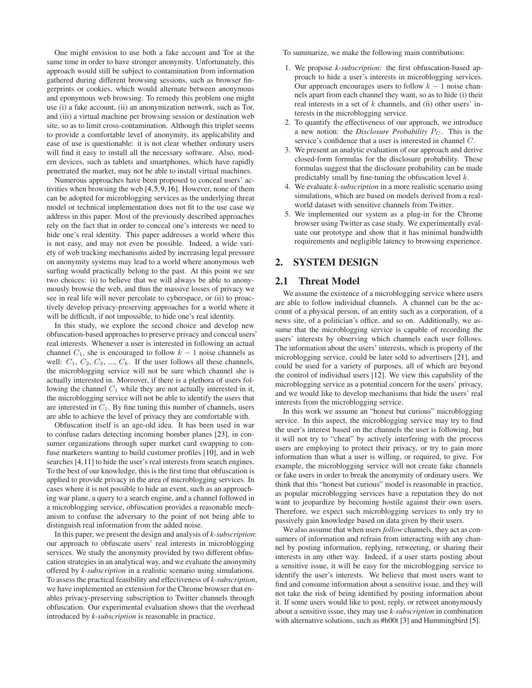One might envision to use both a fake account and Tor at the same time in order to have stronger anonymity. Unfortunately, this approach would still be subject to contamination from information gathered during different browsing sessions, such as browser fingerprints or cookies, which would alternate between anonymous and eponymous web browsing. To remedy this problem one might use (i) a fake account, (ii) an anonymization network, such as Tor, and (iii) a virtual machine per browsing session or destination web site, so as to limit cross-contamination. Although this triplet seems to provide a comfortable level of anonymity, its applicability and ease of use is questionable: it is not clear whether ordinary users will find it easy to install all the necessary software. Also, modern devices, such as tablets and smartphones, which have rapidly penetrated the market, may not be able to install virtual machines.

Numerous approaches have been proposed to conceal users' activities when browsing the web [\[4,](#page-9-3)[5,](#page-9-4)[9,](#page-9-5)[16\]](#page-9-6). However, none of them can be adopted for microblogging services as the underlying threat model or technical implementation does not fit to the use case we address in this paper. Most of the previously described approaches rely on the fact that in order to conceal one's interests we need to hide one's real identity. This paper addresses a world where this is not easy, and may not even be possible. Indeed, a wide variety of web tracking mechanisms aided by increasing legal pressure on anonymity systems may lead to a world where anonymous web surfing would practically belong to the past. At this point we see two choices: (i) to believe that we will always be able to anonymously browse the web, and thus the massive losses of privacy we see in real life will never percolate to cyberspace, or (ii) to proactively develop privacy-preserving approaches for a world where it will be difficult, if not impossible, to hide one's real identity.

In this study, we explore the second choice and develop new obfuscation-based approaches to preserve privacy and conceal users' real interests. Whenever a user is interested in following an actual channel  $C_1$ , she is encouraged to follow  $k - 1$  noise channels as well:  $C_1$ ,  $C_2$ ,  $C_3$ , ...,  $C_k$ . If the user follows all these channels, the microblogging service will not be sure which channel she is actually interested in. Moreover, if there is a plethora of users following the channel  $C_1$  while they are not actually interested in it, the microblogging service will not be able to identify the users that are interested in  $C_1$ . By fine tuning this number of channels, users are able to achieve the level of privacy they are comfortable with.

Obfuscation itself is an age-old idea. It has been used in war to confuse radars detecting incoming bomber planes [\[23\]](#page-9-7), in consumer organizations through super market card swapping to confuse marketers wanting to build customer profiles [\[10\]](#page-9-8), and in web searches [\[4](#page-9-3)[,11\]](#page-9-9) to hide the user's real interests from search engines. To the best of our knowledge, this is the first time that obfuscation is applied to provide privacy in the area of microblogging services. In cases where it is not possible to hide an event, such as an approaching war plane, a query to a search engine, and a channel followed in a microblogging service, obfuscation provides a reasonable mechanism to confuse the adversary to the point of not being able to distinguish real information from the added noise.

In this paper, we present the design and analysis of *k-subscription*: our approach to obfuscate users' real interests in microblogging services. We study the anonymity provided by two different obfuscation strategies in an analytical way, and we evaluate the anonymity offered by *k-subscription* in a realistic scenario using simulations. To assess the practical feasibility and effectiveness of *k-subscription*, we have implemented an extension for the Chrome browser that enables privacy-preserving subscription to Twitter channels through obfuscation. Our experimental evaluation shows that the overhead introduced by *k-subscription* is reasonable in practice.

To summarize, we make the following main contributions:

- 1. We propose *k-subscription*: the first obfuscation-based approach to hide a user's interests in microblogging services. Our approach encourages users to follow  $k - 1$  noise channels apart from each channel they want, so as to hide (i) their real interests in a set of  $k$  channels, and (ii) other users' interests in the microblogging service.
- 2. To quantify the effectiveness of our approach, we introduce a new notion: the *Disclosure Probability* P<sup>C</sup> . This is the service's confidence that a user is interested in channel C.
- 3. We present an analytic evaluation of our approach and derive closed-form formulas for the disclosure probability. These formulas suggest that the disclosure probability can be made predictably small by fine-tuning the obfuscation level  $k$ .
- 4. We evaluate *k-subscription* in a more realistic scenario using simulations, which are based on models derived from a realworld dataset with sensitive channels from Twitter.
- 5. We implemented our system as a plug-in for the Chrome browser using Twitter as case study. We experimentally evaluate our prototype and show that it has minimal bandwidth requirements and negligible latency to browsing experience.

# **2. SYSTEM DESIGN**

# **2.1 Threat Model**

We assume the existence of a microblogging service where users are able to follow individual channels. A channel can be the account of a physical person, of an entity such as a corporation, of a news site, of a politician's office, and so on. Additionally, we assume that the microblogging service is capable of recording the users' interests by observing which channels each user follows. The information about the users' interests, which is property of the microblogging service, could be later sold to advertisers [\[21\]](#page-9-10), and could be used for a variety of purposes, all of which are beyond the control of individual users [\[12\]](#page-9-11). We view this capability of the microblogging service as a potential concern for the users' privacy, and we would like to develop mechanisms that hide the users' real interests from the microblogging service.

In this work we assume an "honest but curious" microblogging service. In this aspect, the microblogging service may try to find the user's interest based on the channels the user is following, but it will not try to "cheat" by actively interfering with the process users are employing to protect their privacy, or try to gain more information than what a user is willing, or required, to give. For example, the microblogging service will not create fake channels or fake users in order to break the anonymity of ordinary users. We think that this "honest but curious" model is reasonable in practice, as popular microblogging services have a reputation they do not want to jeopardize by becoming hostile against their own users. Therefore, we expect such microblogging services to only try to passively gain knowledge based on data given by their users.

We also assume that when users *follow* channels, they act as consumers of information and refrain from interacting with any channel by posting information, replying, retweeting, or sharing their interests in any other way. Indeed, if a user starts posting about a sensitive issue, it will be easy for the microblogging service to identify the user's interests. We believe that most users want to find and consume information about a sensitive issue, and they will not take the risk of being identified by posting information about it. If some users would like to post, reply, or retweet anonymously about a sensitive issue, they may use *k-subscription* in combination with alternative solutions, such as #h00t [\[3\]](#page-9-12) and Hummingbird [\[5\]](#page-9-4).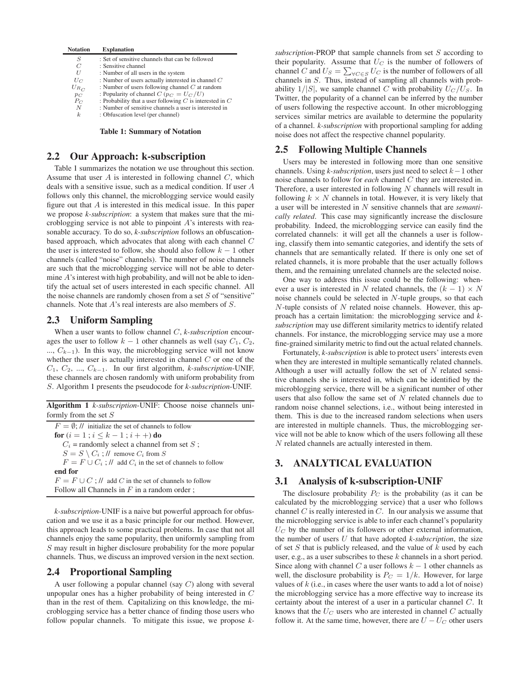| <b>Notation</b>  | <b>Explanation</b>                                           |
|------------------|--------------------------------------------------------------|
| S                | : Set of sensitive channels that can be followed             |
| $\overline{C}$   | : Sensitive channel                                          |
| H                | : Number of all users in the system                          |
| $U_C$            | : Number of users actually interested in channel $C$         |
| $U_{R_C}$        | : Number of users following channel $C$ at random            |
| $\overline{p}_C$ | : Popularity of channel $C$ ( $p_C = U_C/U$ )                |
| $P_{C}$          | : Probability that a user following $C$ is interested in $C$ |
| N                | : Number of sensitive channels a user is interested in       |
| k                | : Obfuscation level (per channel)                            |
|                  |                                                              |

<span id="page-2-0"></span>**Table 1: Summary of Notation**

# **2.2 Our Approach: k-subscription**

Table [1](#page-2-0) summarizes the notation we use throughout this section. Assume that user  $A$  is interested in following channel  $C$ , which deals with a sensitive issue, such as a medical condition. If user A follows only this channel, the microblogging service would easily figure out that  $A$  is interested in this medical issue. In this paper we propose *k-subscription*: a system that makes sure that the microblogging service is not able to pinpoint  $A$ 's interests with reasonable accuracy. To do so, *k-subscription* follows an obfuscationbased approach, which advocates that along with each channel C the user is interested to follow, she should also follow  $k - 1$  other channels (called "noise" channels). The number of noise channels are such that the microblogging service will not be able to determine A's interest with high probability, and will not be able to identify the actual set of users interested in each specific channel. All the noise channels are randomly chosen from a set  $S$  of "sensitive" channels. Note that A's real interests are also members of S.

# **2.3 Uniform Sampling**

When a user wants to follow channel C, *k-subscription* encourages the user to follow  $k - 1$  other channels as well (say  $C_1, C_2$ , ...,  $C_{k-1}$ ). In this way, the microblogging service will not know whether the user is actually interested in channel  $C$  or one of the  $C_1, C_2, ..., C_{k-1}$ . In our first algorithm, *k-subscription*-UNIF, these channels are chosen randomly with uniform probability from S. Algorithm [1](#page-2-1) presents the pseudocode for *k-subscription*-UNIF.

**Algorithm 1** *k-subscription*-UNIF: Choose noise channels uniformly from the set  $S$ 

 $F = \emptyset$ ; // initialize the set of channels to follow **for**  $(i = 1 ; i \leq k - 1 ; i + 1)$  **do**  $C_i$  = randomly select a channel from set S;  $S = S \setminus C_i$ ; // remove  $C_i$  from S  $F = F \cup C_i$ ; // add  $C_i$  in the set of channels to follow **end for**  $F = F \cup C$ ; // add C in the set of channels to follow Follow all Channels in  $F$  in a random order;

<span id="page-2-1"></span>*k-subscription*-UNIF is a naive but powerful approach for obfuscation and we use it as a basic principle for our method. However, this approach leads to some practical problems. In case that not all channels enjoy the same popularity, then uniformly sampling from S may result in higher disclosure probability for the more popular channels. Thus, we discuss an improved version in the next section.

# **2.4 Proportional Sampling**

A user following a popular channel (say C) along with several unpopular ones has a higher probability of being interested in C than in the rest of them. Capitalizing on this knowledge, the microblogging service has a better chance of finding those users who follow popular channels. To mitigate this issue, we propose *k-* *subscription*-PROP that sample channels from set S according to their popularity. Assume that  $U_C$  is the number of followers of channel C and  $U_S = \sum_{\forall C \in S} U_C$  is the number of followers of all channels in S. Thus, instead of sampling all channels with probability  $1/|S|$ , we sample channel C with probability  $U_C/U_S$ . In Twitter, the popularity of a channel can be inferred by the number of users following the respective account. In other microblogging services similar metrics are available to determine the popularity of a channel. *k-subscription* with proportional sampling for adding noise does not affect the respective channel popularity.

### **2.5 Following Multiple Channels**

Users may be interested in following more than one sensitive channels. Using *k-subscription*, users just need to select k−1 other noise channels to follow for *each* channel C they are interested in. Therefore, a user interested in following  $N$  channels will result in following  $k \times N$  channels in total. However, it is very likely that a user will be interested in N sensitive channels that are *semantically related*. This case may significantly increase the disclosure probability. Indeed, the microblogging service can easily find the correlated channels: it will get all the channels a user is following, classify them into semantic categories, and identify the sets of channels that are semantically related. If there is only one set of related channels, it is more probable that the user actually follows them, and the remaining unrelated channels are the selected noise.

One way to address this issue could be the following: whenever a user is interested in N related channels, the  $(k - 1) \times N$ noise channels could be selected in N-tuple groups, so that each  $N$ -tuple consists of  $N$  related noise channels. However, this approach has a certain limitation: the microblogging service and *ksubscription* may use different similarity metrics to identify related channels. For instance, the microblogging service may use a more fine-grained similarity metric to find out the actual related channels.

Fortunately, *k-subscription* is able to protect users' interests even when they are interested in multiple semantically related channels. Although a user will actually follow the set of  $N$  related sensitive channels she is interested in, which can be identified by the microblogging service, there will be a significant number of other users that also follow the same set of  $N$  related channels due to random noise channel selections, i.e., without being interested in them. This is due to the increased random selections when users are interested in multiple channels. Thus, the microblogging service will not be able to know which of the users following all these N related channels are actually interested in them.

# **3. ANALYTICAL EVALUATION**

### **3.1 Analysis of k-subscription-UNIF**

The disclosure probability  $P_C$  is the probability (as it can be calculated by the microblogging service) that a user who follows channel  $C$  is really interested in  $C$ . In our analysis we assume that the microblogging service is able to infer each channel's popularity  $U_C$  by the number of its followers or other external information, the number of users  $U$  that have adopted  $k$ -subscription, the size of set  $S$  that is publicly released, and the value of  $k$  used by each user, e.g., as a user subscribes to these k channels in a short period. Since along with channel C a user follows  $k - 1$  other channels as well, the disclosure probability is  $P_C = 1/k$ . However, for large values of  $k$  (i.e., in cases where the user wants to add a lot of noise) the microblogging service has a more effective way to increase its certainty about the interest of a user in a particular channel C. It knows that the  $U_C$  users who are interested in channel  $C$  actually follow it. At the same time, however, there are  $U - U_C$  other users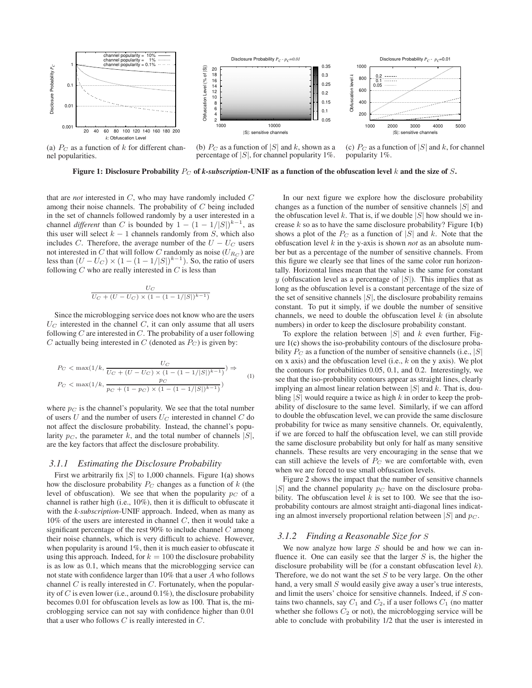<span id="page-3-0"></span>

(a)  $P_C$  as a function of k for different channel popularities.

<span id="page-3-2"></span>(c)  $P_C$  as a function of |S| and k, for channel popularity 1%.

**Figure 1: Disclosure Probability**  $P_C$  of *k-subscription*-UNIF as a function of the obfuscation level  $k$  and the size of  $S$ .

<span id="page-3-1"></span>percentage of  $|S|$ , for channel popularity 1%.

that are *not* interested in C, who may have randomly included C among their noise channels. The probability of C being included in the set of channels followed randomly by a user interested in a channel *different* than C is bounded by  $1 - (1 - 1/|S|)^{k-1}$ , as this user will select  $k - 1$  channels randomly from  $S$ , which also includes C. Therefore, the average number of the  $U - U_C$  users not interested in C that will follow C randomly as noise  $(U_{R_C})$  are less than  $(U - U_C) \times (1 - (1 - 1/|S|)^{k-1})$ . So, the ratio of users following  $C$  who are really interested in  $C$  is less than

$$
\frac{U_C}{U_C + (U - U_C) \times (1 - (1 - 1/|S|)^{k-1})}
$$

Since the microblogging service does not know who are the users  $U_C$  interested in the channel  $C$ , it can only assume that all users following  $C$  are interested in  $C$ . The probability of a user following C actually being interested in C (denoted as  $P_C$ ) is given by:

$$
P_C < \max(1/k, \frac{U_C}{U_C + (U - U_C) \times (1 - (1 - 1/|S|)^{k-1})}) \Rightarrow
$$
\n
$$
P_C < \max(1/k, \frac{p_C}{p_C + (1 - p_C) \times (1 - (1 - 1/|S|)^{k-1})})
$$
\n(1)

where  $p_C$  is the channel's popularity. We see that the total number of users U and the number of users  $U_C$  interested in channel C do not affect the disclosure probability. Instead, the channel's popularity  $p_C$ , the parameter k, and the total number of channels  $|S|$ , are the key factors that affect the disclosure probability.

#### *3.1.1 Estimating the Disclosure Probability*

First we arbitrarily fix  $|S|$  to 1,000 channels. Figure [1\(a\)](#page-3-0) shows how the disclosure probability  $P_C$  changes as a function of k (the level of obfuscation). We see that when the popularity  $p_C$  of a channel is rather high (i.e., 10%), then it is difficult to obfuscate it with the *k-subscription*-UNIF approach. Indeed, when as many as  $10\%$  of the users are interested in channel C, then it would take a significant percentage of the rest  $90\%$  to include channel C among their noise channels, which is very difficult to achieve. However, when popularity is around 1%, then it is much easier to obfuscate it using this approach. Indeed, for  $k = 100$  the disclosure probability is as low as 0.1, which means that the microblogging service can not state with confidence larger than 10% that a user A who follows channel  $C$  is really interested in  $C$ . Fortunately, when the popularity of C is even lower (i.e., around  $0.1\%$ ), the disclosure probability becomes 0.01 for obfuscation levels as low as 100. That is, the microblogging service can not say with confidence higher than 0.01 that a user who follows  $C$  is really interested in  $C$ .

In our next figure we explore how the disclosure probability changes as a function of the number of sensitive channels  $|S|$  and the obfuscation level k. That is, if we double  $|S|$  how should we increase  $k$  so as to have the same disclosure probability? Figure [1\(b\)](#page-3-1) shows a plot of the  $P_C$  as a function of |S| and k. Note that the obfuscation level k in the y-axis is shown *not* as an absolute number but as a percentage of the number of sensitive channels. From this figure we clearly see that lines of the same color run horizontally. Horizontal lines mean that the value is the same for constant y (obfuscation level as a percentage of  $|S|$ ). This implies that as long as the obfuscation level is a constant percentage of the size of the set of sensitive channels  $|S|$ , the disclosure probability remains constant. To put it simply, if we double the number of sensitive channels, we need to double the obfuscation level  $k$  (in absolute numbers) in order to keep the disclosure probability constant.

To explore the relation between  $|S|$  and k even further, Figure [1\(c\)](#page-3-2) shows the iso-probability contours of the disclosure probability  $P_C$  as a function of the number of sensitive channels (i.e., |S| on x axis) and the obfuscation level (i.e.,  $k$  on the y axis). We plot the contours for probabilities 0.05, 0.1, and 0.2. Interestingly, we see that the iso-probability contours appear as straight lines, clearly implying an almost linear relation between  $|S|$  and k. That is, doubling  $|S|$  would require a twice as high k in order to keep the probability of disclosure to the same level. Similarly, if we can afford to double the obfuscation level, we can provide the same disclosure probability for twice as many sensitive channels. Or, equivalently, if we are forced to half the obfuscation level, we can still provide the same disclosure probability but only for half as many sensitive channels. These results are very encouraging in the sense that we can still achieve the levels of  $P<sub>C</sub>$  we are comfortable with, even when we are forced to use small obfuscation levels.

Figure [2](#page-4-0) shows the impact that the number of sensitive channels  $|S|$  and the channel popularity  $p_C$  have on the disclosure probability. The obfuscation level  $k$  is set to 100. We see that the isoprobability contours are almost straight anti-diagonal lines indicating an almost inversely proportional relation between  $|S|$  and  $p_C$ .

#### *3.1.2 Finding a Reasonable Size for* S

We now analyze how large  $S$  should be and how we can influence it. One can easily see that the larger  $S$  is, the higher the disclosure probability will be (for a constant obfuscation level  $k$ ). Therefore, we do not want the set  $S$  to be very large. On the other hand, a very small  $S$  would easily give away a user's true interests, and limit the users' choice for sensitive channels. Indeed, if S contains two channels, say  $C_1$  and  $C_2$ , if a user follows  $C_1$  (no matter whether she follows  $C_2$  or not), the microblogging service will be able to conclude with probability 1/2 that the user is interested in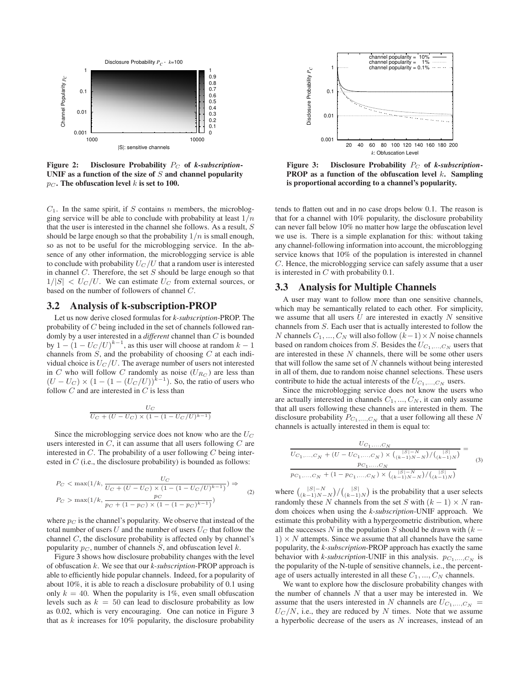

<span id="page-4-0"></span>Figure 2: Disclosure Probability  $P_C$  of *k*-subscription-**UNIF as a function of the size of** S **and channel popularity**  $p_C$ . The obfuscation level k is set to 100.

 $C_1$ . In the same spirit, if S contains n members, the microblogging service will be able to conclude with probability at least  $1/n$ that the user is interested in the channel she follows. As a result, S should be large enough so that the probability  $1/n$  is small enough, so as not to be useful for the microblogging service. In the absence of any other information, the microblogging service is able to conclude with probability  $U_C/U$  that a random user is interested in channel  $C$ . Therefore, the set  $S$  should be large enough so that  $1/|S|$  <  $U_C/U$ . We can estimate  $U_C$  from external sources, or based on the number of followers of channel C.

#### **3.2 Analysis of k-subscription-PROP**

Let us now derive closed formulas for *k-subscription*-PROP. The probability of C being included in the set of channels followed randomly by a user interested in a *different* channel than C is bounded by  $1 - (1 - U_C/U)^{k-1}$ , as this user will choose at random  $k-1$ channels from  $S$ , and the probability of choosing  $C$  at each individual choice is  $U_C/U$ . The average number of users not interested in C who will follow C randomly as noise  $(U_{R_C})$  are less than  $(U-U_C) \times (1-(1-(U_C/U))^{k-1})$ . So, the ratio of users who follow  $C$  and are interested in  $C$  is less than

$$
\frac{U_C}{U_C + (U - U_C) \times (1 - (1 - U_C/U)^{k-1})}
$$

Since the microblogging service does not know who are the  $U_C$ users interested in  $C$ , it can assume that all users following  $C$  are interested in  $C$ . The probability of a user following  $C$  being interested in  $C$  (i.e., the disclosure probability) is bounded as follows:

$$
P_C < \max(1/k, \frac{U_C}{U_C + (U - U_C) \times (1 - (1 - U_C/U)^{k-1})}) \Rightarrow
$$
\n
$$
P_C > \max(1/k, \frac{p_C}{p_C + (1 - p_C) \times (1 - (1 - p_C)^{k-1})})
$$
\n
$$
(2)
$$

where  $p_C$  is the channel's popularity. We observe that instead of the total number of users  $U$  and the number of users  $U_C$  that follow the channel  $C$ , the disclosure probability is affected only by channel's popularity  $p_C$ , number of channels S, and obfuscation level k.

Figure [3](#page-4-1) shows how disclosure probability changes with the level of obfuscation k. We see that our *k-subscription*-PROP approach is able to efficiently hide popular channels. Indeed, for a popularity of about 10%, it is able to reach a disclosure probability of 0.1 using only  $k = 40$ . When the popularity is 1%, even small obfuscation levels such as  $k = 50$  can lead to disclosure probability as low as 0.02, which is very encouraging. One can notice in Figure [3](#page-4-1) that as  $k$  increases for 10% popularity, the disclosure probability



<span id="page-4-1"></span>Figure 3: Disclosure Probability  $P_C$  of *k*-subscription-**PROP as a function of the obfuscation level** k**. Sampling is proportional according to a channel's popularity.**

tends to flatten out and in no case drops below 0.1. The reason is that for a channel with 10% popularity, the disclosure probability can never fall below 10% no matter how large the obfuscation level we use is. There is a simple explanation for this: without taking any channel-following information into account, the microblogging service knows that 10% of the population is interested in channel C. Hence, the microblogging service can safely assume that a user is interested in C with probability 0.1.

# **3.3 Analysis for Multiple Channels**

A user may want to follow more than one sensitive channels, which may be semantically related to each other. For simplicity, we assume that all users  $U$  are interested in exactly  $N$  sensitive channels from S. Each user that is actually interested to follow the N channels  $C_1, ..., C_N$  will also follow  $(k-1) \times N$  noise channels based on random choices from  $S$ . Besides the  $U_{C_1,...,C_N}$  users that are interested in these N channels, there will be some other users that will follow the same set of  $N$  channels without being interested in all of them, due to random noise channel selections. These users contribute to hide the actual interests of the  $U_{C_1,...,C_N}$  users.

Since the microblogging service does not know the users who are actually interested in channels  $C_1, ..., C_N$ , it can only assume that all users following these channels are interested in them. The disclosure probability  $P_{C_1,...,C_N}$  that a user following all these N channels is actually interested in them is equal to:

<span id="page-4-2"></span>
$$
\frac{U_{C_1,...,C_N}}{U_{C_1,...,C_N} + (U - U_{C_1,...,C_N}) \times \binom{|S| - N}{(k-1)N - N} / \binom{|S|}{(k-1)N}} =
$$
\n
$$
\frac{p_{C_1,...,C_N}}{p_{C_1,...,C_N} + (1 - p_{C_1,...,C_N}) \times \binom{|S| - N}{(k-1)N - N} / \binom{|S|}{(k-1)N}}
$$
\n(3)

where  $\binom{|S|-N}{(k-1)N-N}/\binom{|S|}{(k-1)N}$  is the probability that a user selects randomly these N channels from the set S with  $(k - 1) \times N$  random choices when using the *k-subscription*-UNIF approach. We estimate this probability with a hypergeometric distribution, where all the successes N in the population S should be drawn with  $(k 1) \times N$  attempts. Since we assume that all channels have the same popularity, the *k-subscription*-PROP approach has exactly the same behavior with *k-subscription*-UNIF in this analysis.  $p_{C_1,...,C_N}$  is the popularity of the N-tuple of sensitive channels, i.e., the percentage of users actually interested in all these  $C_1, ..., C_N$  channels.

We want to explore how the disclosure probability changes with the number of channels  $N$  that a user may be interested in. We assume that the users interested in N channels are  $U_{C_1,...,C_N}$  =  $U<sub>C</sub>/N$ , i.e., they are reduced by N times. Note that we assume a hyperbolic decrease of the users as  $N$  increases, instead of an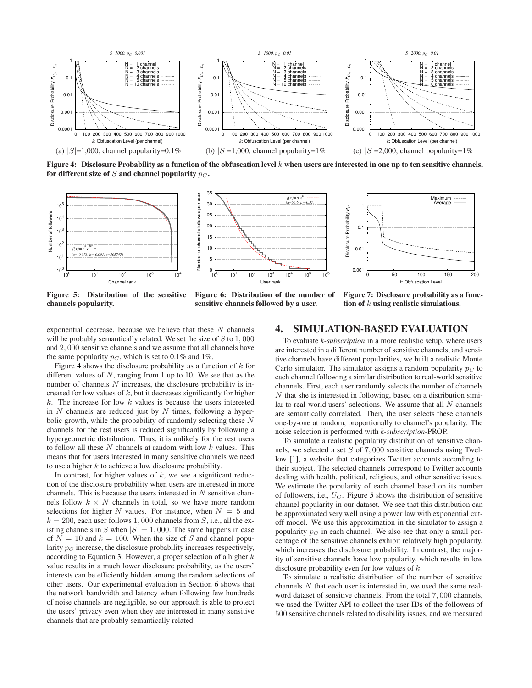

<span id="page-5-0"></span>**Figure 4: Disclosure Probability as a function of the obfuscation level** k **when users are interested in one up to ten sensitive channels,** for different size of  $S$  and channel popularity  $p_C$ .



<span id="page-5-1"></span>**Figure 5: Distribution of the sensitive channels popularity.**

<span id="page-5-2"></span>**Figure 6: Distribution of the number of sensitive channels followed by a user.**

<span id="page-5-3"></span>**Figure 7: Disclosure probability as a function of** k **using realistic simulations.**

exponential decrease, because we believe that these  $N$  channels will be probably semantically related. We set the size of  $S$  to  $1,000$ and 2, 000 sensitive channels and we assume that all channels have the same popularity  $p_C$ , which is set to 0.1% and 1%.

Figure [4](#page-5-0) shows the disclosure probability as a function of  $k$  for different values of  $N$ , ranging from 1 up to 10. We see that as the number of channels  $N$  increases, the disclosure probability is increased for low values of  $k$ , but it decreases significantly for higher  $k$ . The increase for low  $k$  values is because the users interested in  $N$  channels are reduced just by  $N$  times, following a hyperbolic growth, while the probability of randomly selecting these  $N$ channels for the rest users is reduced significantly by following a hypergeometric distribution. Thus, it is unlikely for the rest users to follow all these  $N$  channels at random with low  $k$  values. This means that for users interested in many sensitive channels we need to use a higher  $k$  to achieve a low disclosure probability.

In contrast, for higher values of  $k$ , we see a significant reduction of the disclosure probability when users are interested in more channels. This is because the users interested in  $N$  sensitive channels follow  $k \times N$  channels in total, so we have more random selections for higher N values. For instance, when  $N = 5$  and  $k = 200$ , each user follows 1,000 channels from S, i.e., all the existing channels in S when  $|S| = 1,000$ . The same happens in case of  $N = 10$  and  $k = 100$ . When the size of S and channel popularity  $p_C$  increase, the disclosure probability increases respectively, according to Equation [3.](#page-4-2) However, a proper selection of a higher  $k$ value results in a much lower disclosure probability, as the users' interests can be efficiently hidden among the random selections of other users. Our experimental evaluation in Section [6](#page-6-0) shows that the network bandwidth and latency when following few hundreds of noise channels are negligible, so our approach is able to protect the users' privacy even when they are interested in many sensitive channels that are probably semantically related.

# **4. SIMULATION-BASED EVALUATION**

To evaluate *k-subscription* in a more realistic setup, where users are interested in a different number of sensitive channels, and sensitive channels have different popularities, we built a realistic Monte Carlo simulator. The simulator assigns a random popularity  $p_C$  to each channel following a similar distribution to real-world sensitive channels. First, each user randomly selects the number of channels  $N$  that she is interested in following, based on a distribution similar to real-world users' selections. We assume that all  $N$  channels are semantically correlated. Then, the user selects these channels one-by-one at random, proportionally to channel's popularity. The noise selection is performed with *k-subscription*-PROP.

To simulate a realistic popularity distribution of sensitive channels, we selected a set S of 7, 000 sensitive channels using Twellow [\[1\]](#page-9-13), a website that categorizes Twitter accounts according to their subject. The selected channels correspond to Twitter accounts dealing with health, political, religious, and other sensitive issues. We estimate the popularity of each channel based on its number of followers, i.e.,  $U_C$ . Figure [5](#page-5-1) shows the distribution of sensitive channel popularity in our dataset. We see that this distribution can be approximated very well using a power law with exponential cutoff model. We use this approximation in the simulator to assign a popularity  $p_C$  in each channel. We also see that only a small percentage of the sensitive channels exhibit relatively high popularity, which increases the disclosure probability. In contrast, the majority of sensitive channels have low popularity, which results in low disclosure probability even for low values of k.

To simulate a realistic distribution of the number of sensitive channels N that each user is interested in, we used the same realword dataset of sensitive channels. From the total 7, 000 channels, we used the Twitter API to collect the user IDs of the followers of 500 sensitive channels related to disability issues, and we measured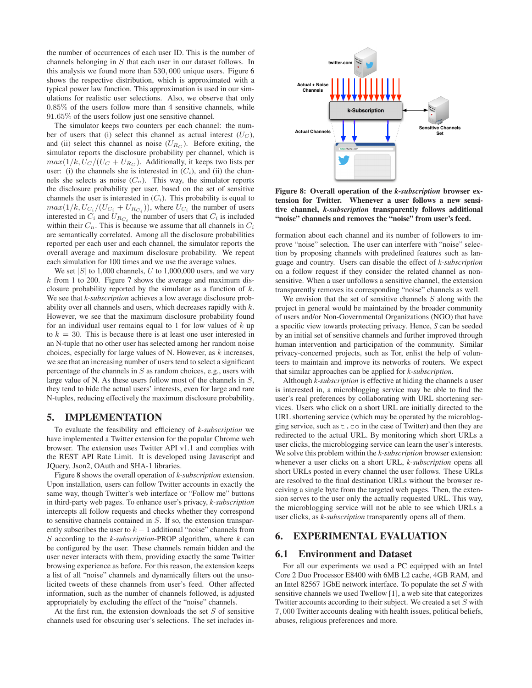the number of occurrences of each user ID. This is the number of channels belonging in S that each user in our dataset follows. In this analysis we found more than 530, 000 unique users. Figure [6](#page-5-2) shows the respective distribution, which is approximated with a typical power law function. This approximation is used in our simulations for realistic user selections. Also, we observe that only 0.85% of the users follow more than 4 sensitive channels, while 91.65% of the users follow just one sensitive channel.

The simulator keeps two counters per each channel: the number of users that (i) select this channel as actual interest  $(U_C)$ , and (ii) select this channel as noise  $(U_{R_C})$ . Before exiting, the simulator reports the disclosure probability per channel, which is  $max(1/k, U_C/(U_C + U_{R_C})$ . Additionally, it keeps two lists per user: (i) the channels she is interested in  $(C_i)$ , and (ii) the channels she selects as noise  $(C_n)$ . This way, the simulator reports the disclosure probability per user, based on the set of sensitive channels the user is interested in  $(C_i)$ . This probability is equal to  $max(1/k, U_{C_i}/(U_{C_i} + U_{R_{C_i}}))$ , where  $U_{C_i}$  the number of users interested in  $C_i$  and  $U_{R_{C_i}}$  the number of users that  $C_i$  is included within their  $C_n$ . This is because we assume that all channels in  $C_i$ are semantically correlated. Among all the disclosure probabilities reported per each user and each channel, the simulator reports the overall average and maximum disclosure probability. We repeat each simulation for 100 times and we use the average values.

We set  $|S|$  to 1,000 channels, U to 1,000,000 users, and we vary  $k$  from 1 to 200. Figure [7](#page-5-3) shows the average and maximum disclosure probability reported by the simulator as a function of  $k$ . We see that *k-subscription* achieves a low average disclosure probability over all channels and users, which decreases rapidly with k. However, we see that the maximum disclosure probability found for an individual user remains equal to 1 for low values of  $k$  up to  $k = 30$ . This is because there is at least one user interested in an N-tuple that no other user has selected among her random noise choices, especially for large values of N. However, as  $k$  increases, we see that an increasing number of users tend to select a significant percentage of the channels in  $S$  as random choices, e.g., users with large value of N. As these users follow most of the channels in S, they tend to hide the actual users' interests, even for large and rare N-tuples, reducing effectively the maximum disclosure probability.

#### **5. IMPLEMENTATION**

To evaluate the feasibility and efficiency of *k-subscription* we have implemented a Twitter extension for the popular Chrome web browser. The extension uses Twitter API v1.1 and complies with the REST API Rate Limit. It is developed using Javascript and JQuery, Json2, OAuth and SHA-1 libraries.

Figure [8](#page-6-1) shows the overall operation of *k-subscription* extension. Upon installation, users can follow Twitter accounts in exactly the same way, though Twitter's web interface or "Follow me" buttons in third-party web pages. To enhance user's privacy, *k-subscription* intercepts all follow requests and checks whether they correspond to sensitive channels contained in  $S$ . If so, the extension transparently subscribes the user to  $k - 1$  additional "noise" channels from S according to the *k-subscription*-PROP algorithm, where k can be configured by the user. These channels remain hidden and the user never interacts with them, providing exactly the same Twitter browsing experience as before. For this reason, the extension keeps a list of all "noise" channels and dynamically filters out the unsolicited tweets of these channels from user's feed. Other affected information, such as the number of channels followed, is adjusted appropriately by excluding the effect of the "noise" channels.

At the first run, the extension downloads the set  $S$  of sensitive channels used for obscuring user's selections. The set includes in-



<span id="page-6-1"></span>**Figure 8: Overall operation of the** *k-subscription* **browser extension for Twitter. Whenever a user follows a new sensitive channel,** *k-subscription* **transparently follows additional "noise" channels and removes the "noise" from user's feed.**

formation about each channel and its number of followers to improve "noise" selection. The user can interfere with "noise" selection by proposing channels with predefined features such as language and country. Users can disable the effect of *k-subscription* on a follow request if they consider the related channel as nonsensitive. When a user unfollows a sensitive channel, the extension transparently removes its corresponding "noise" channels as well.

We envision that the set of sensitive channels  $S$  along with the project in general would be maintained by the broader community of users and/or Non-Governmental Organizations (NGO) that have a specific view towards protecting privacy. Hence, *S* can be seeded by an initial set of sensitive channels and further improved through human intervention and participation of the community. Similar privacy-concerned projects, such as Tor, enlist the help of volunteers to maintain and improve its networks of routers. We expect that similar approaches can be applied for *k-subscription*.

Although *k-subscription* is effective at hiding the channels a user is interested in, a microblogging service may be able to find the user's real preferences by collaborating with URL shortening services. Users who click on a short URL are initially directed to the URL shortening service (which may be operated by the microblogging service, such as  $t \cdot \infty$  in the case of Twitter) and then they are redirected to the actual URL. By monitoring which short URLs a user clicks, the microblogging service can learn the user's interests. We solve this problem within the *k-subscription* browser extension: whenever a user clicks on a short URL, *k-subscription* opens all short URLs posted in every channel the user follows. These URLs are resolved to the final destination URLs without the browser receiving a single byte from the targeted web pages. Then, the extension serves to the user only the actually requested URL. This way, the microblogging service will not be able to see which URLs a user clicks, as *k-subscription* transparently opens all of them.

# <span id="page-6-0"></span>**6. EXPERIMENTAL EVALUATION**

# **6.1 Environment and Dataset**

For all our experiments we used a PC equipped with an Intel Core 2 Duo Processor E8400 with 6MB L2 cache, 4GB RAM, and an Intel 82567 1GbE network interface. To populate the set  $S$  with sensitive channels we used Twellow [\[1\]](#page-9-13), a web site that categorizes Twitter accounts according to their subject. We created a set S with 7, 000 Twitter accounts dealing with health issues, political beliefs, abuses, religious preferences and more.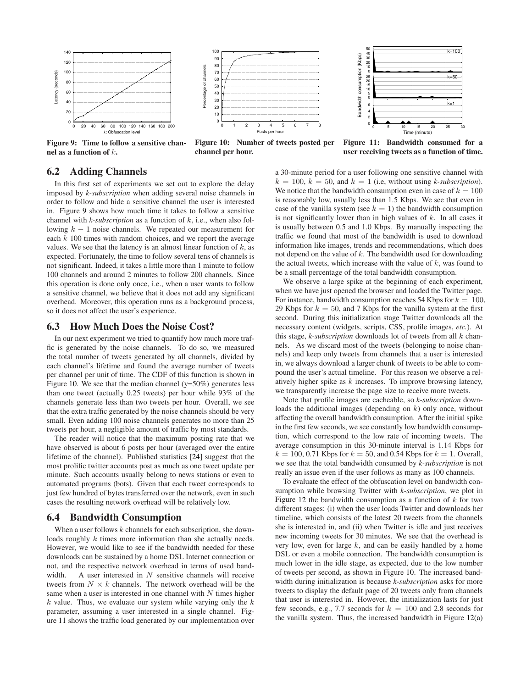

<span id="page-7-0"></span>**Figure 9: Time to follow a sensitive channel as a function of** k**.**



<span id="page-7-1"></span>**Figure 10: Number of tweets posted per channel per hour.**

Time (minute) **Figure 11: Bandwidth consumed for a user receiving tweets as a function of time.**

<span id="page-7-2"></span>0 5 10 15 20 25 30

 $k=100$ 

 $k = 50$ 

 $k=1$ 

# **6.2 Adding Channels**

In this first set of experiments we set out to explore the delay imposed by *k-subscription* when adding several noise channels in order to follow and hide a sensitive channel the user is interested in. Figure [9](#page-7-0) shows how much time it takes to follow a sensitive channel with *k-subscription* as a function of k, i.e., when also following  $k - 1$  noise channels. We repeated our measurement for each  $k$  100 times with random choices, and we report the average values. We see that the latency is an almost linear function of  $k$ , as expected. Fortunately, the time to follow several tens of channels is not significant. Indeed, it takes a little more than 1 minute to follow 100 channels and around 2 minutes to follow 200 channels. Since this operation is done only once, i.e., when a user wants to follow a sensitive channel, we believe that it does not add any significant overhead. Moreover, this operation runs as a background process, so it does not affect the user's experience.

### **6.3 How Much Does the Noise Cost?**

In our next experiment we tried to quantify how much more traffic is generated by the noise channels. To do so, we measured the total number of tweets generated by all channels, divided by each channel's lifetime and found the average number of tweets per channel per unit of time. The CDF of this function is shown in Figure [10.](#page-7-1) We see that the median channel  $(y=50\%)$  generates less than one tweet (actually 0.25 tweets) per hour while 93% of the channels generate less than two tweets per hour. Overall, we see that the extra traffic generated by the noise channels should be very small. Even adding 100 noise channels generates no more than 25 tweets per hour, a negligible amount of traffic by most standards.

The reader will notice that the maximum posting rate that we have observed is about 6 posts per hour (averaged over the entire lifetime of the channel). Published statistics [\[24\]](#page-9-14) suggest that the most prolific twitter accounts post as much as one tweet update per minute. Such accounts usually belong to news stations or even to automated programs (bots). Given that each tweet corresponds to just few hundred of bytes transferred over the network, even in such cases the resulting network overhead will be relatively low.

### **6.4 Bandwidth Consumption**

When a user follows  $k$  channels for each subscription, she downloads roughly k times more information than she actually needs. However, we would like to see if the bandwidth needed for these downloads can be sustained by a home DSL Internet connection or not, and the respective network overhead in terms of used bandwidth. A user interested in  $N$  sensitive channels will receive tweets from  $N \times k$  channels. The network overhead will be the same when a user is interested in one channel with  $N$  times higher  $k$  value. Thus, we evaluate our system while varying only the  $k$ parameter, assuming a user interested in a single channel. Figure [11](#page-7-2) shows the traffic load generated by our implementation over

a 30-minute period for a user following one sensitive channel with  $k = 100$ ,  $k = 50$ , and  $k = 1$  (i.e, without using *k*-subscription). We notice that the bandwidth consumption even in case of  $k = 100$ is reasonably low, usually less than 1.5 Kbps. We see that even in case of the vanilla system (see  $k = 1$ ) the bandwidth consumption is not significantly lower than in high values of  $k$ . In all cases it is usually between 0.5 and 1.0 Kbps. By manually inspecting the traffic we found that most of the bandwidth is used to download information like images, trends and recommendations, which does not depend on the value of  $k$ . The bandwidth used for downloading the actual tweets, which increase with the value of  $k$ , was found to be a small percentage of the total bandwidth consumption.

40<br>
30<br>
20<br>
10<br>
0

 0 25<br>
20<br>
15<br>
10<br>
5 Bandwidth consumption (Kbps)

Bandwidth consumption (Kbps)

We observe a large spike at the beginning of each experiment, when we have just opened the browser and loaded the Twitter page. For instance, bandwidth consumption reaches 54 Kbps for  $k = 100$ , 29 Kbps for  $k = 50$ , and 7 Kbps for the vanilla system at the first second. During this initialization stage Twitter downloads all the necessary content (widgets, scripts, CSS, profile images, *etc.*). At this stage, *k-subscription* downloads lot of tweets from all k channels. As we discard most of the tweets (belonging to noise channels) and keep only tweets from channels that a user is interested in, we always download a larger chunk of tweets to be able to compound the user's actual timeline. For this reason we observe a relatively higher spike as  $k$  increases. To improve browsing latency, we transparently increase the page size to receive more tweets.

Note that profile images are cacheable, so *k-subscription* downloads the additional images (depending on  $k$ ) only once, without affecting the overall bandwidth consumption. After the initial spike in the first few seconds, we see constantly low bandwidth consumption, which correspond to the low rate of incoming tweets. The average consumption in this 30-minute interval is 1.14 Kbps for  $k = 100, 0.71$  Kbps for  $k = 50$ , and 0.54 Kbps for  $k = 1$ . Overall, we see that the total bandwidth consumed by *k-subscription* is not really an issue even if the user follows as many as 100 channels.

To evaluate the effect of the obfuscation level on bandwidth consumption while browsing Twitter with *k-subscription*, we plot in Figure [12](#page-8-0) the bandwidth consumption as a function of  $k$  for two different stages: (i) when the user loads Twitter and downloads her timeline, which consists of the latest 20 tweets from the channels she is interested in, and (ii) when Twitter is idle and just receives new incoming tweets for 30 minutes. We see that the overhead is very low, even for large  $k$ , and can be easily handled by a home DSL or even a mobile connection. The bandwidth consumption is much lower in the idle stage, as expected, due to the low number of tweets per second, as shown in Figure [10.](#page-7-1) The increased bandwidth during initialization is because *k-subscription* asks for more tweets to display the default page of 20 tweets only from channels that user is interested in. However, the initialization lasts for just few seconds, e.g., 7.7 seconds for  $k = 100$  and 2.8 seconds for the vanilla system. Thus, the increased bandwidth in Figure [12\(a\)](#page-8-1)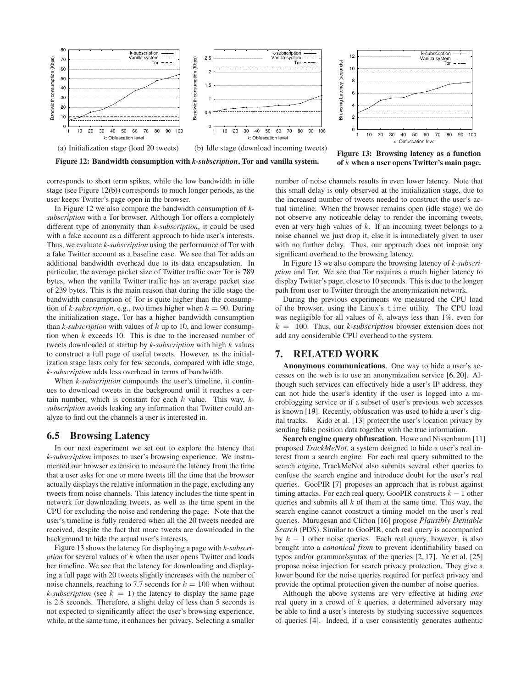<span id="page-8-2"></span><span id="page-8-1"></span>

<span id="page-8-0"></span>**Figure 12: Bandwidth consumption with** *k-subscription***, Tor and vanilla system.**

corresponds to short term spikes, while the low bandwidth in idle stage (see Figure [12\(b\)\)](#page-8-2) corresponds to much longer periods, as the user keeps Twitter's page open in the browser.

In Figure [12](#page-8-0) we also compare the bandwidth consumption of *ksubscription* with a Tor browser. Although Tor offers a completely different type of anonymity than *k-subscription*, it could be used with a fake account as a different approach to hide user's interests. Thus, we evaluate *k-subscription* using the performance of Tor with a fake Twitter account as a baseline case. We see that Tor adds an additional bandwidth overhead due to its data encapsulation. In particular, the average packet size of Twitter traffic over Tor is 789 bytes, when the vanilla Twitter traffic has an average packet size of 239 bytes. This is the main reason that during the idle stage the bandwidth consumption of Tor is quite higher than the consumption of *k-subscription*, e.g., two times higher when  $k = 90$ . During the initialization stage, Tor has a higher bandwidth consumption than  $k$ -subscription with values of  $k$  up to 10, and lower consumption when  $k$  exceeds 10. This is due to the increased number of tweets downloaded at startup by *k-subscription* with high k values to construct a full page of useful tweets. However, as the initialization stage lasts only for few seconds, compared with idle stage, *k-subscription* adds less overhead in terms of bandwidth.

When *k-subscription* compounds the user's timeline, it continues to download tweets in the background until it reaches a certain number, which is constant for each k value. This way, *ksubscription* avoids leaking any information that Twitter could analyze to find out the channels a user is interested in.

#### **6.5 Browsing Latency**

In our next experiment we set out to explore the latency that *k-subscription* imposes to user's browsing experience. We instrumented our browser extension to measure the latency from the time that a user asks for one or more tweets till the time that the browser actually displays the relative information in the page, excluding any tweets from noise channels. This latency includes the time spent in network for downloading tweets, as well as the time spent in the CPU for excluding the noise and rendering the page. Note that the user's timeline is fully rendered when all the 20 tweets needed are received, despite the fact that more tweets are downloaded in the background to hide the actual user's interests.

Figure [13](#page-8-3) shows the latency for displaying a page with *k-subscription* for several values of k when the user opens Twitter and loads her timeline. We see that the latency for downloading and displaying a full page with 20 tweets slightly increases with the number of noise channels, reaching to 7.7 seconds for  $k = 100$  when without *k-subscription* (see  $k = 1$ ) the latency to display the same page is 2.8 seconds. Therefore, a slight delay of less than 5 seconds is not expected to significantly affect the user's browsing experience, while, at the same time, it enhances her privacy. Selecting a smaller <span id="page-8-3"></span>number of noise channels results in even lower latency. Note that this small delay is only observed at the initialization stage, due to the increased number of tweets needed to construct the user's actual timeline. When the browser remains open (idle stage) we do not observe any noticeable delay to render the incoming tweets, even at very high values of k. If an incoming tweet belongs to a noise channel we just drop it, else it is immediately given to user with no further delay. Thus, our approach does not impose any significant overhead to the browsing latency.

In Figure [13](#page-8-3) we also compare the browsing latency of *k-subscription* and Tor. We see that Tor requires a much higher latency to display Twitter's page, close to 10 seconds. This is due to the longer path from user to Twitter through the anonymization network.

During the previous experiments we measured the CPU load of the browser, using the Linux's time utility. The CPU load was negligible for all values of  $k$ , always less than 1%, even for  $k = 100$ . Thus, our *k-subscription* browser extension does not add any considerable CPU overhead to the system.

# **7. RELATED WORK**

**Anonymous communications**. One way to hide a user's accesses on the web is to use an anonymization service [\[6,](#page-9-2) [20\]](#page-9-15). Although such services can effectively hide a user's IP address, they can not hide the user's identity if the user is logged into a microblogging service or if a subset of user's previous web accesses is known [\[19\]](#page-9-16). Recently, obfuscation was used to hide a user's digital tracks. Kido et al. [\[13\]](#page-9-17) protect the user's location privacy by sending false position data together with the true information.

**Search engine query obfuscation**. Howe and Nissenbaum [\[11\]](#page-9-9) proposed *TrackMeNot*, a system designed to hide a user's real interest from a search engine. For each real query submitted to the search engine, TrackMeNot also submits several other queries to confuse the search engine and introduce doubt for the user's real queries. GooPIR [\[7\]](#page-9-18) proposes an approach that is robust against timing attacks. For each real query, GooPIR constructs  $k - 1$  other queries and submits all  $k$  of them at the same time. This way, the search engine cannot construct a timing model on the user's real queries. Murugesan and Clifton [\[16\]](#page-9-6) propose *Plausibly Deniable Search* (PDS). Similar to GooPIR, each real query is accompanied by  $k - 1$  other noise queries. Each real query, however, is also brought into a *canonical from* to prevent identifiability based on typos and/or grammar/syntax of the queries [\[2,](#page-9-19) [17\]](#page-9-20). Ye et al. [\[25\]](#page-9-21) propose noise injection for search privacy protection. They give a lower bound for the noise queries required for perfect privacy and provide the optimal protection given the number of noise queries.

Although the above systems are very effective at hiding *one* real query in a crowd of  $k$  queries, a determined adversary may be able to find a user's interests by studying successive sequences of queries [\[4\]](#page-9-3). Indeed, if a user consistently generates authentic